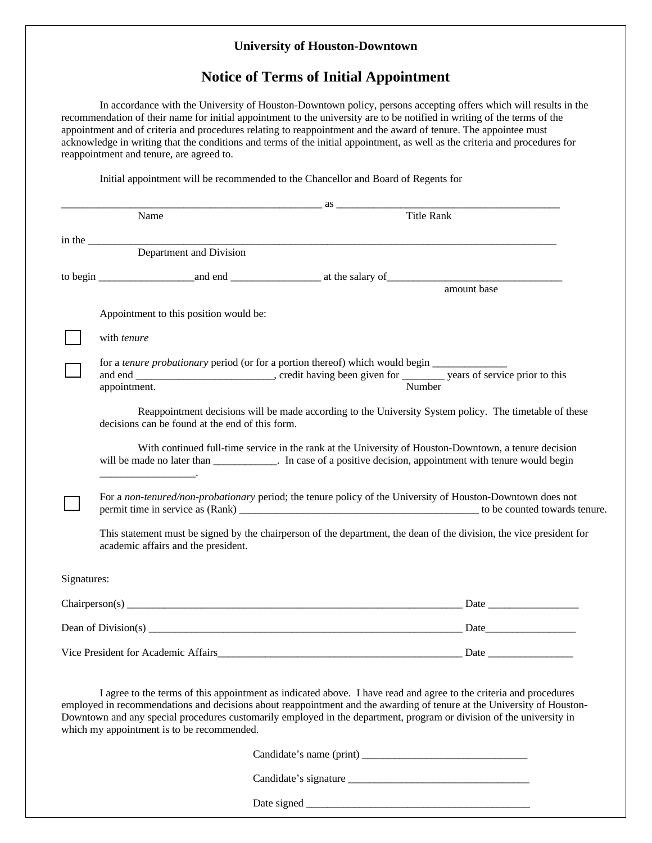## **University of Houston-Downtown**

## **Notice of Terms of Initial Appointment**

In accordance with the University of Houston-Downtown policy, persons accepting offers which will results in the recommendation of their name for initial appointment to the university are to be notified in writing of the terms of the appointment and of criteria and procedures relating to reappointment and the award of tenure. The appointee must acknowledge in writing that the conditions and terms of the initial appointment, as well as the criteria and procedures for reappointment and tenure, are agreed to.

Initial appointment will be recommended to the Chancellor and Board of Regents for

|             |                                                 | $\overline{\text{as}}$                                                                                                                                                                                                                                                                                                                                              |
|-------------|-------------------------------------------------|---------------------------------------------------------------------------------------------------------------------------------------------------------------------------------------------------------------------------------------------------------------------------------------------------------------------------------------------------------------------|
|             | Name                                            | <b>Title Rank</b>                                                                                                                                                                                                                                                                                                                                                   |
|             |                                                 |                                                                                                                                                                                                                                                                                                                                                                     |
|             |                                                 | in the <u>Department</u> and Division                                                                                                                                                                                                                                                                                                                               |
|             |                                                 |                                                                                                                                                                                                                                                                                                                                                                     |
|             |                                                 | amount base                                                                                                                                                                                                                                                                                                                                                         |
|             | Appointment to this position would be:          |                                                                                                                                                                                                                                                                                                                                                                     |
|             | with tenure                                     |                                                                                                                                                                                                                                                                                                                                                                     |
|             | appointment.                                    | for a <i>tenure probationary</i> period (or for a portion thereof) which would begin<br>Number                                                                                                                                                                                                                                                                      |
|             | decisions can be found at the end of this form. | Reappointment decisions will be made according to the University System policy. The timetable of these                                                                                                                                                                                                                                                              |
|             |                                                 | With continued full-time service in the rank at the University of Houston-Downtown, a tenure decision<br>will be made no later than ____________. In case of a positive decision, appointment with tenure would begin                                                                                                                                               |
|             |                                                 | For a non-tenured/non-probationary period; the tenure policy of the University of Houston-Downtown does not                                                                                                                                                                                                                                                         |
|             | academic affairs and the president.             | This statement must be signed by the chairperson of the department, the dean of the division, the vice president for                                                                                                                                                                                                                                                |
| Signatures: |                                                 |                                                                                                                                                                                                                                                                                                                                                                     |
|             |                                                 |                                                                                                                                                                                                                                                                                                                                                                     |
|             |                                                 |                                                                                                                                                                                                                                                                                                                                                                     |
|             |                                                 |                                                                                                                                                                                                                                                                                                                                                                     |
|             | which my appointment is to be recommended.      | I agree to the terms of this appointment as indicated above. I have read and agree to the criteria and procedures<br>employed in recommendations and decisions about reappointment and the awarding of tenure at the University of Houston-<br>Downtown and any special procedures customarily employed in the department, program or division of the university in |
|             |                                                 |                                                                                                                                                                                                                                                                                                                                                                     |

Candidate's signature \_\_\_\_\_\_\_\_\_\_\_\_\_\_\_\_\_\_\_\_\_\_\_\_\_\_\_\_\_\_\_\_\_\_

Date signed